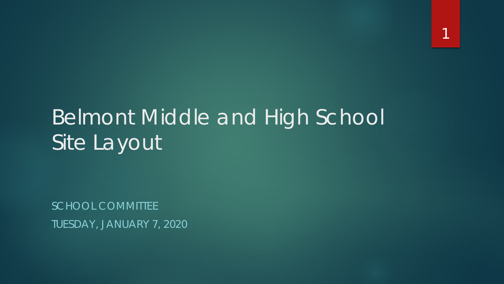## Belmont Middle and High School Site Layout

SCHOOL COMMITTEE TUESDAY, JANUARY 7, 2020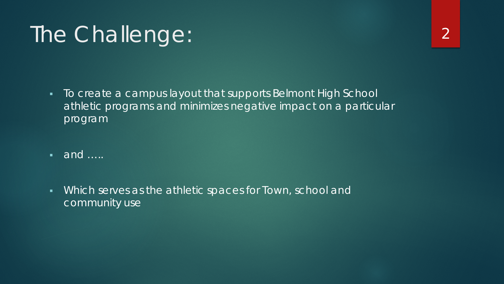# The Challenge:

- To create a campus layout that supports Belmont High School athletic programs and minimizes negative impact on a particular program
- and …..
- Which serves as the athletic spaces for Town, school and community use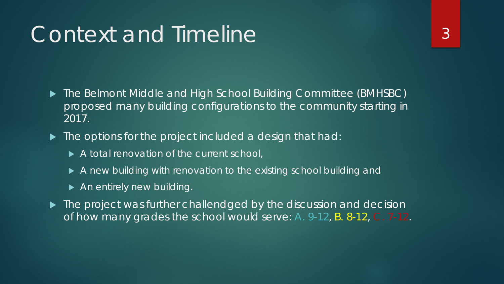### Context and Timeline

- ▶ The Belmont Middle and High School Building Committee (BMHSBC) proposed many building configurations to the community starting in 2017.
- $\blacktriangleright$  The options for the project included a design that had:
	- A total renovation of the current school,
	- A new building with renovation to the existing school building and
	- ▶ An entirely new building.
- $\blacktriangleright$  The project was further challendged by the discussion and decision of how many grades the school would serve: A. 9-12, B. 8-12, C. 7-12.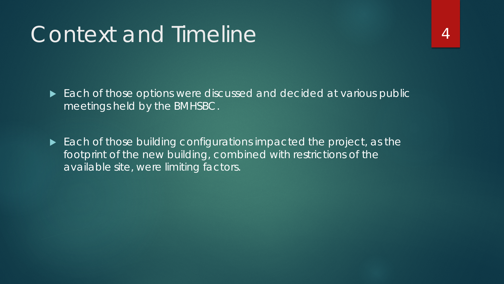### Context and Timeline

Each of those options were discussed and decided at various public meetings held by the BMHSBC.

Each of those building configurations impacted the project, as the footprint of the new building, combined with restrictions of the available site, were limiting factors.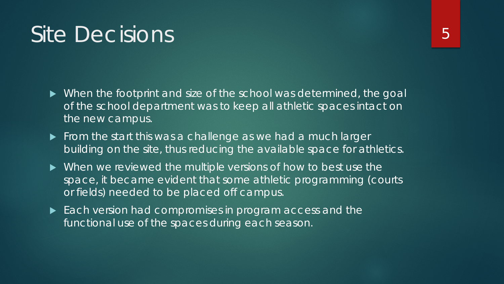### Site Decisions

- When the footprint and size of the school was determined, the goal of the school department was to keep all athletic spaces intact on the new campus.
- $\blacktriangleright$  From the start this was a challenge as we had a much larger building on the site, thus reducing the available space for athletics.
- When we reviewed the multiple versions of how to best use the space, it became evident that some athletic programming (courts or fields) needed to be placed off campus.
- Each version had compromises in program access and the functional use of the spaces during each season.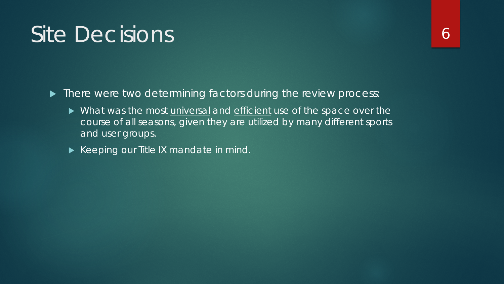## Site Decisions

 $\blacktriangleright$  There were two determining factors during the review process:

- $\blacktriangleright$  What was the most universal and efficient use of the space over the course of all seasons, given they are utilized by many different sports and user groups.
- Keeping our Title IX mandate in mind.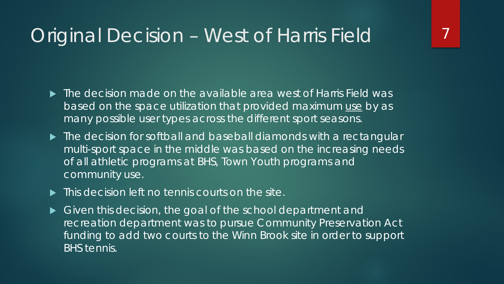#### Original Decision – West of Harris Field

- ▶ The decision made on the available area west of Harris Field was based on the space utilization that provided maximum use by as many possible user types across the different sport seasons.
- $\blacktriangleright$  The decision for softball and baseball diamonds with a rectangular multi-sport space in the middle was based on the increasing needs of all athletic programs at BHS, Town Youth programs and community use.
- $\blacktriangleright$  This decision left no tennis courts on the site.
- Given this decision, the goal of the school department and recreation department was to pursue Community Preservation Act funding to add two courts to the Winn Brook site in order to support BHS tennis.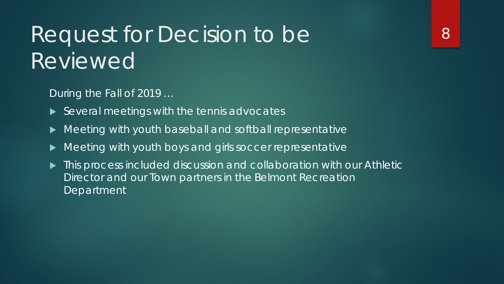# Request for Decision to be Reviewed

During the Fall of 2019 …

- $\blacktriangleright$  Several meetings with the tennis advocates
- Meeting with youth baseball and softball representative
- Meeting with youth boys and girls soccer representative
- $\blacktriangleright$  This process included discussion and collaboration with our Athletic Director and our Town partners in the Belmont Recreation Department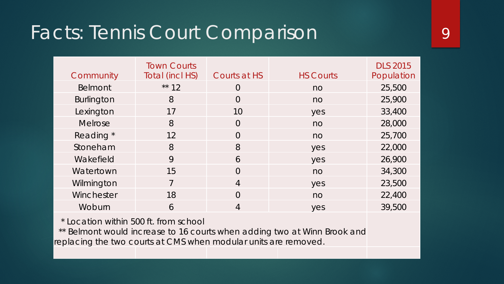#### Facts: Tennis Court Comparison

| Community      | <b>Town Courts</b><br>Total (incl HS) | Courts at HS   | <b>HS Courts</b> | <b>DLS 2015</b><br>Population |
|----------------|---------------------------------------|----------------|------------------|-------------------------------|
| <b>Belmont</b> | ** $12$                               | $\Omega$       | n <sub>O</sub>   | 25,500                        |
| Burlington     | 8                                     | $\overline{0}$ | n <sub>O</sub>   | 25,900                        |
| Lexington      | 17                                    | 10             | yes              | 33,400                        |
| <b>Melrose</b> | 8                                     | $\Omega$       | n <sub>O</sub>   | 28,000                        |
| Reading *      | 12                                    | $\Omega$       | no               | 25,700                        |
| Stoneham       | 8                                     | 8              | yes              | 22,000                        |
| Wakefield      | 9                                     | 6              | yes              | 26,900                        |
| Watertown      | 15                                    | $\Omega$       | n <sub>O</sub>   | 34,300                        |
| Wilmington     | 7                                     | $\overline{4}$ | yes              | 23,500                        |
| Winchester     | 18                                    | $\Omega$       | n <sub>O</sub>   | 22,400                        |
| Woburn         | 6                                     | 4              | yes              | 39,500                        |

\* Location within 500 ft. from school

\*\* Belmont would increase to 16 courts when adding two at Winn Brook and replacing the two courts at CMS when modular units are removed.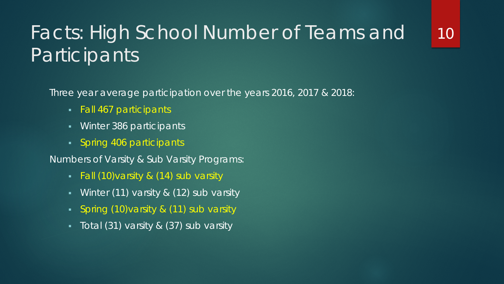#### Facts: High School Number of Teams and **Participants**

10

Three year average participation over the years 2016, 2017 & 2018:

- Fall 467 participants
- Winter 386 participants
- Spring 406 participants

Numbers of Varsity & Sub Varsity Programs:

- **Fall (10) varsity & (14) sub varsity**
- Winter (11) varsity & (12) sub varsity
- Spring (10)varsity & (11) sub varsity
- $\blacksquare$  Total (31) varsity & (37) sub varsity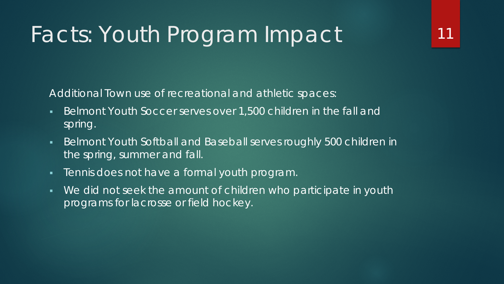# Facts: Youth Program Impact

*Additional Town use of recreational and athletic spaces*:

- Belmont Youth Soccer serves over 1,500 children in the fall and spring.
- Belmont Youth Softball and Baseball serves roughly 500 children in the spring, summer and fall.
- **Figure 1** Tennis does not have a formal youth program.
- We did not seek the amount of children who participate in youth programs for lacrosse or field hockey.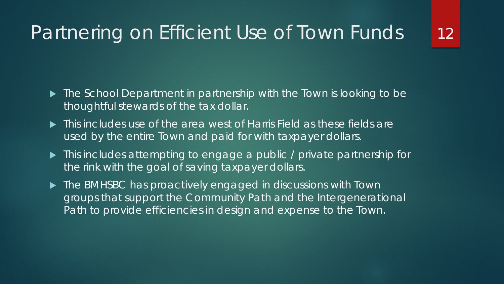#### Partnering on Efficient Use of Town Funds

- ▶ The School Department in partnership with the Town is looking to be thoughtful stewards of the tax dollar.
- $\blacktriangleright$  This includes use of the area west of Harris Field as these fields are used by the entire Town and paid for with taxpayer dollars.
- **This includes attempting to engage a public / private partnership for** the rink with the goal of saving taxpayer dollars.
- ▶ The BMHSBC has proactively engaged in discussions with Town groups that support the Community Path and the Intergenerational Path to provide efficiencies in design and expense to the Town.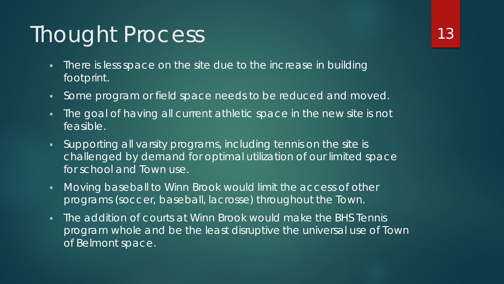# Thought Process

- There is less space on the site due to the increase in building footprint.
- Some program or field space needs to be reduced and moved.
- The goal of having all current athletic space in the new site is not feasible.
- Supporting all varsity programs, including tennis on the site is challenged by demand for optimal utilization of our limited space for school and Town use.
- Moving baseball to Winn Brook would limit the access of other programs (soccer, baseball, lacrosse) throughout the Town.
- The addition of courts at Winn Brook would make the BHS Tennis program whole and be the least disruptive the universal use of Town of Belmont space.